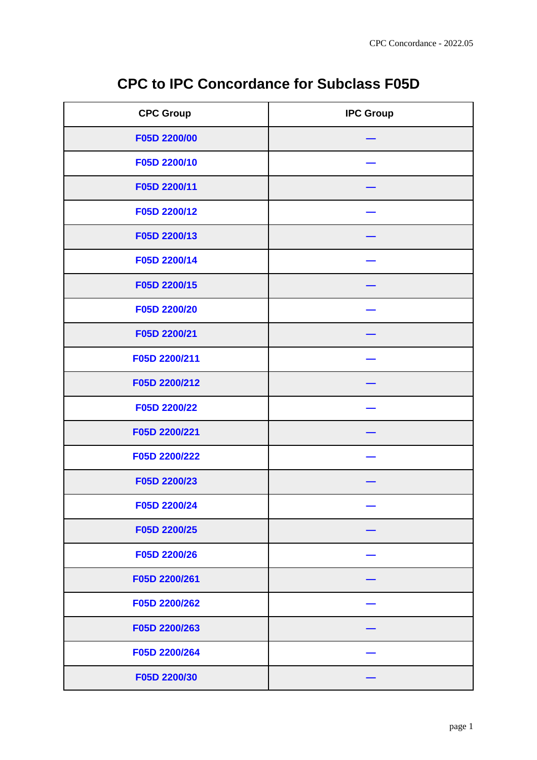| <b>CPC to IPC Concordance for Subclass F05D</b> |  |  |
|-------------------------------------------------|--|--|
|-------------------------------------------------|--|--|

| <b>CPC Group</b> | <b>IPC Group</b> |
|------------------|------------------|
| F05D 2200/00     |                  |
| F05D 2200/10     |                  |
| F05D 2200/11     |                  |
| F05D 2200/12     |                  |
| F05D 2200/13     |                  |
| F05D 2200/14     |                  |
| F05D 2200/15     |                  |
| F05D 2200/20     |                  |
| F05D 2200/21     |                  |
| F05D 2200/211    |                  |
| F05D 2200/212    |                  |
| F05D 2200/22     |                  |
| F05D 2200/221    |                  |
| F05D 2200/222    |                  |
| F05D 2200/23     |                  |
| F05D 2200/24     |                  |
| F05D 2200/25     |                  |
| F05D 2200/26     |                  |
| F05D 2200/261    |                  |
| F05D 2200/262    |                  |
| F05D 2200/263    |                  |
| F05D 2200/264    |                  |
| F05D 2200/30     |                  |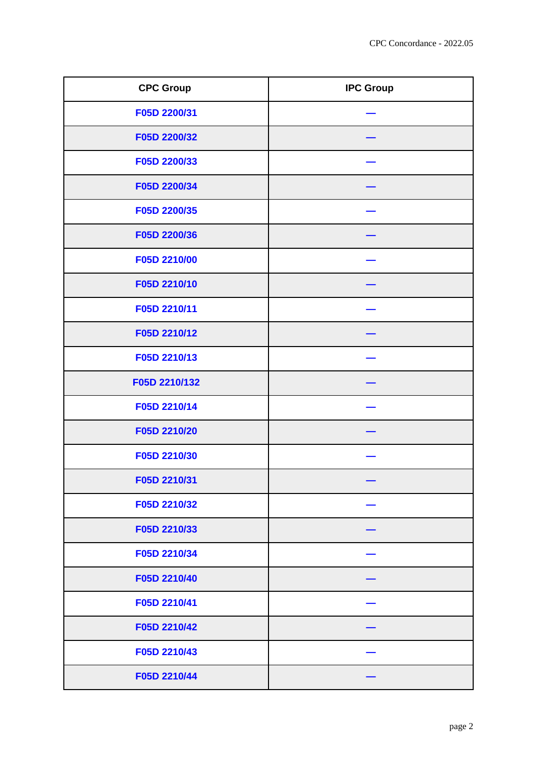| <b>CPC Group</b> | <b>IPC Group</b> |
|------------------|------------------|
| F05D 2200/31     |                  |
| F05D 2200/32     |                  |
| F05D 2200/33     |                  |
| F05D 2200/34     |                  |
| F05D 2200/35     |                  |
| F05D 2200/36     |                  |
| F05D 2210/00     |                  |
| F05D 2210/10     |                  |
| F05D 2210/11     |                  |
| F05D 2210/12     |                  |
| F05D 2210/13     |                  |
| F05D 2210/132    |                  |
| F05D 2210/14     |                  |
| F05D 2210/20     |                  |
| F05D 2210/30     |                  |
| F05D 2210/31     |                  |
| F05D 2210/32     |                  |
| F05D 2210/33     |                  |
| F05D 2210/34     |                  |
| F05D 2210/40     |                  |
| F05D 2210/41     |                  |
| F05D 2210/42     |                  |
| F05D 2210/43     |                  |
| F05D 2210/44     |                  |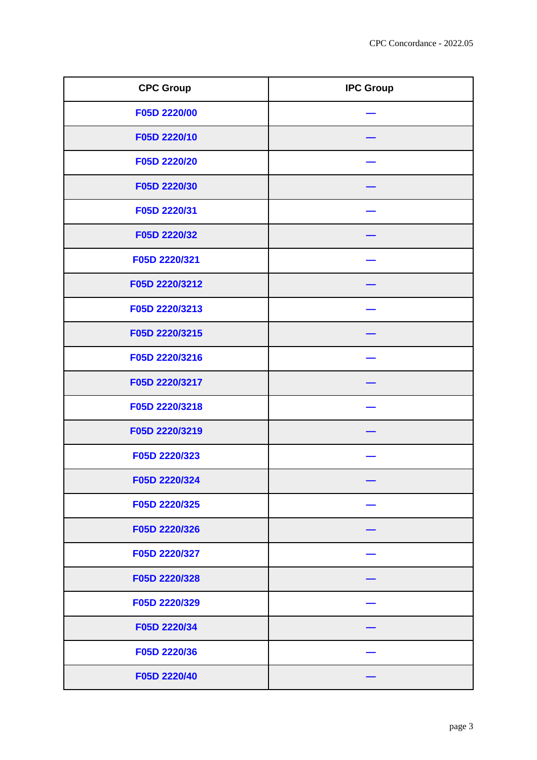| <b>CPC Group</b> | <b>IPC Group</b> |
|------------------|------------------|
| F05D 2220/00     |                  |
| F05D 2220/10     |                  |
| F05D 2220/20     |                  |
| F05D 2220/30     |                  |
| F05D 2220/31     |                  |
| F05D 2220/32     |                  |
| F05D 2220/321    |                  |
| F05D 2220/3212   |                  |
| F05D 2220/3213   |                  |
| F05D 2220/3215   |                  |
| F05D 2220/3216   |                  |
| F05D 2220/3217   |                  |
| F05D 2220/3218   |                  |
| F05D 2220/3219   |                  |
| F05D 2220/323    |                  |
| F05D 2220/324    |                  |
| F05D 2220/325    |                  |
| F05D 2220/326    |                  |
| F05D 2220/327    |                  |
| F05D 2220/328    |                  |
| F05D 2220/329    |                  |
| F05D 2220/34     |                  |
| F05D 2220/36     |                  |
| F05D 2220/40     |                  |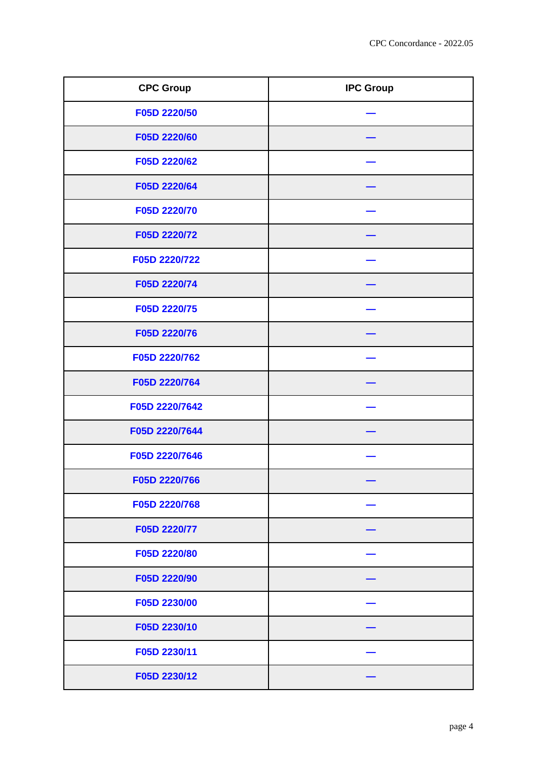| <b>CPC Group</b> | <b>IPC Group</b> |
|------------------|------------------|
| F05D 2220/50     |                  |
| F05D 2220/60     |                  |
| F05D 2220/62     |                  |
| F05D 2220/64     |                  |
| F05D 2220/70     |                  |
| F05D 2220/72     |                  |
| F05D 2220/722    |                  |
| F05D 2220/74     |                  |
| F05D 2220/75     |                  |
| F05D 2220/76     |                  |
| F05D 2220/762    |                  |
| F05D 2220/764    |                  |
| F05D 2220/7642   |                  |
| F05D 2220/7644   |                  |
| F05D 2220/7646   |                  |
| F05D 2220/766    |                  |
| F05D 2220/768    |                  |
| F05D 2220/77     |                  |
| F05D 2220/80     |                  |
| F05D 2220/90     |                  |
| F05D 2230/00     |                  |
| F05D 2230/10     |                  |
| F05D 2230/11     |                  |
| F05D 2230/12     |                  |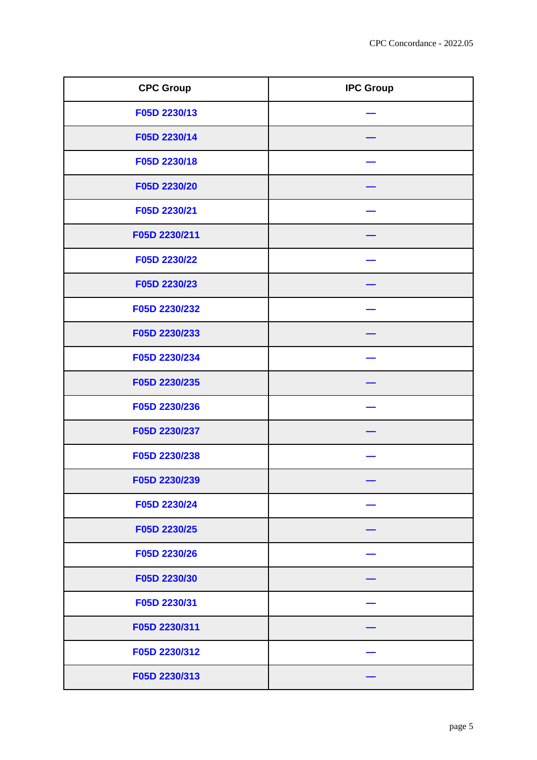| <b>CPC Group</b> | <b>IPC Group</b> |
|------------------|------------------|
| F05D 2230/13     |                  |
| F05D 2230/14     |                  |
| F05D 2230/18     |                  |
| F05D 2230/20     |                  |
| F05D 2230/21     |                  |
| F05D 2230/211    |                  |
| F05D 2230/22     |                  |
| F05D 2230/23     |                  |
| F05D 2230/232    |                  |
| F05D 2230/233    |                  |
| F05D 2230/234    |                  |
| F05D 2230/235    |                  |
| F05D 2230/236    |                  |
| F05D 2230/237    |                  |
| F05D 2230/238    |                  |
| F05D 2230/239    |                  |
| F05D 2230/24     |                  |
| F05D 2230/25     |                  |
| F05D 2230/26     |                  |
| F05D 2230/30     |                  |
| F05D 2230/31     |                  |
| F05D 2230/311    |                  |
| F05D 2230/312    |                  |
| F05D 2230/313    |                  |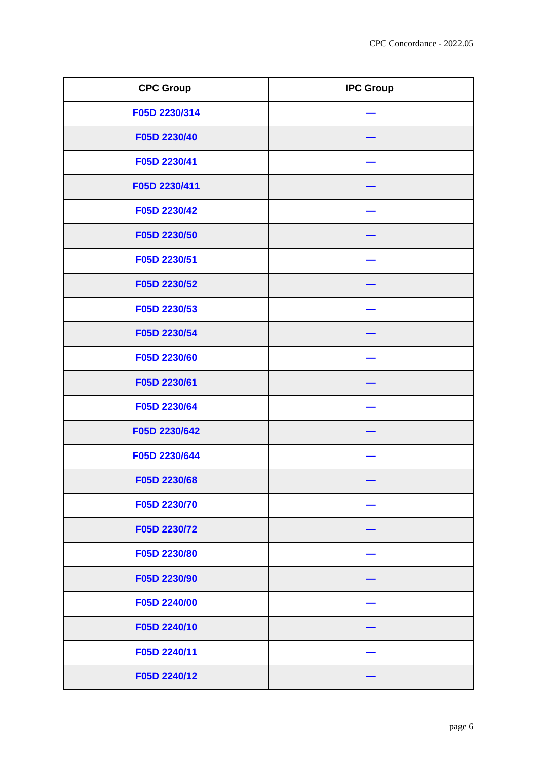| <b>CPC Group</b> | <b>IPC Group</b> |
|------------------|------------------|
| F05D 2230/314    |                  |
| F05D 2230/40     |                  |
| F05D 2230/41     |                  |
| F05D 2230/411    |                  |
| F05D 2230/42     |                  |
| F05D 2230/50     |                  |
| F05D 2230/51     |                  |
| F05D 2230/52     |                  |
| F05D 2230/53     |                  |
| F05D 2230/54     |                  |
| F05D 2230/60     |                  |
| F05D 2230/61     |                  |
| F05D 2230/64     |                  |
| F05D 2230/642    |                  |
| F05D 2230/644    |                  |
| F05D 2230/68     |                  |
| F05D 2230/70     |                  |
| F05D 2230/72     |                  |
| F05D 2230/80     |                  |
| F05D 2230/90     |                  |
| F05D 2240/00     |                  |
| F05D 2240/10     |                  |
| F05D 2240/11     |                  |
| F05D 2240/12     |                  |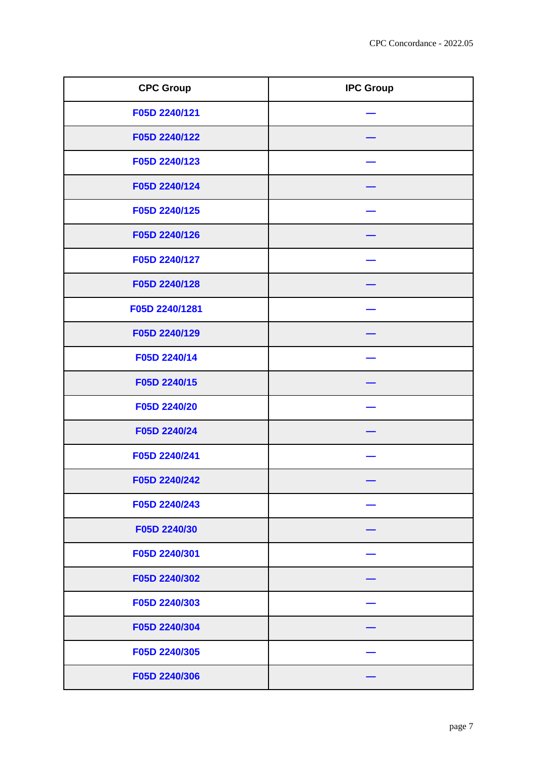| <b>CPC Group</b> | <b>IPC Group</b> |
|------------------|------------------|
| F05D 2240/121    |                  |
| F05D 2240/122    |                  |
| F05D 2240/123    |                  |
| F05D 2240/124    |                  |
| F05D 2240/125    |                  |
| F05D 2240/126    |                  |
| F05D 2240/127    |                  |
| F05D 2240/128    |                  |
| F05D 2240/1281   |                  |
| F05D 2240/129    |                  |
| F05D 2240/14     |                  |
| F05D 2240/15     |                  |
| F05D 2240/20     |                  |
| F05D 2240/24     |                  |
| F05D 2240/241    |                  |
| F05D 2240/242    |                  |
| F05D 2240/243    |                  |
| F05D 2240/30     |                  |
| F05D 2240/301    |                  |
| F05D 2240/302    |                  |
| F05D 2240/303    |                  |
| F05D 2240/304    |                  |
| F05D 2240/305    |                  |
| F05D 2240/306    |                  |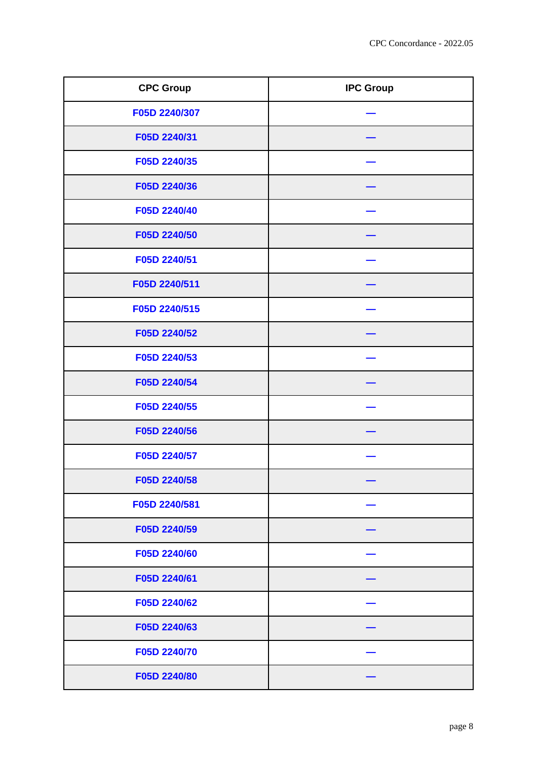| <b>CPC Group</b> | <b>IPC Group</b> |
|------------------|------------------|
| F05D 2240/307    |                  |
| F05D 2240/31     |                  |
| F05D 2240/35     |                  |
| F05D 2240/36     |                  |
| F05D 2240/40     |                  |
| F05D 2240/50     |                  |
| F05D 2240/51     |                  |
| F05D 2240/511    |                  |
| F05D 2240/515    |                  |
| F05D 2240/52     |                  |
| F05D 2240/53     |                  |
| F05D 2240/54     |                  |
| F05D 2240/55     |                  |
| F05D 2240/56     |                  |
| F05D 2240/57     |                  |
| F05D 2240/58     |                  |
| F05D 2240/581    |                  |
| F05D 2240/59     |                  |
| F05D 2240/60     |                  |
| F05D 2240/61     |                  |
| F05D 2240/62     |                  |
| F05D 2240/63     |                  |
| F05D 2240/70     |                  |
| F05D 2240/80     |                  |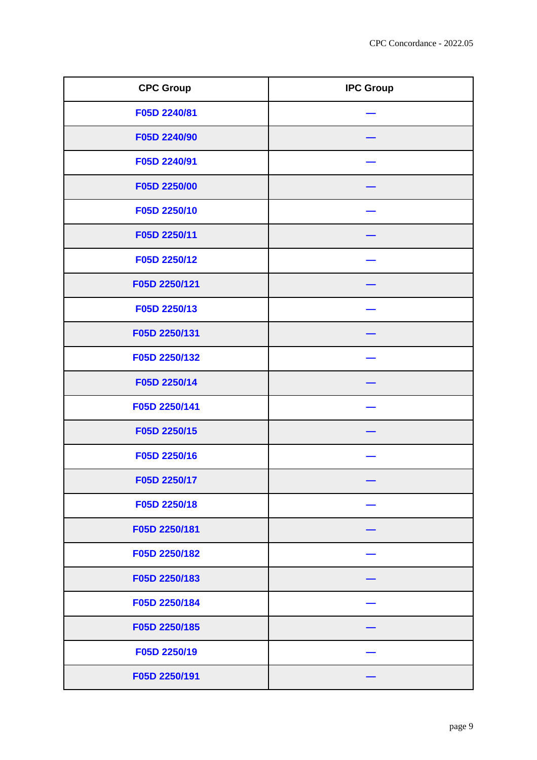| <b>CPC Group</b> | <b>IPC Group</b> |
|------------------|------------------|
| F05D 2240/81     |                  |
| F05D 2240/90     |                  |
| F05D 2240/91     |                  |
| F05D 2250/00     |                  |
| F05D 2250/10     |                  |
| F05D 2250/11     |                  |
| F05D 2250/12     |                  |
| F05D 2250/121    |                  |
| F05D 2250/13     |                  |
| F05D 2250/131    |                  |
| F05D 2250/132    |                  |
| F05D 2250/14     |                  |
| F05D 2250/141    |                  |
| F05D 2250/15     |                  |
| F05D 2250/16     |                  |
| F05D 2250/17     |                  |
| F05D 2250/18     |                  |
| F05D 2250/181    |                  |
| F05D 2250/182    |                  |
| F05D 2250/183    |                  |
| F05D 2250/184    |                  |
| F05D 2250/185    |                  |
| F05D 2250/19     |                  |
| F05D 2250/191    |                  |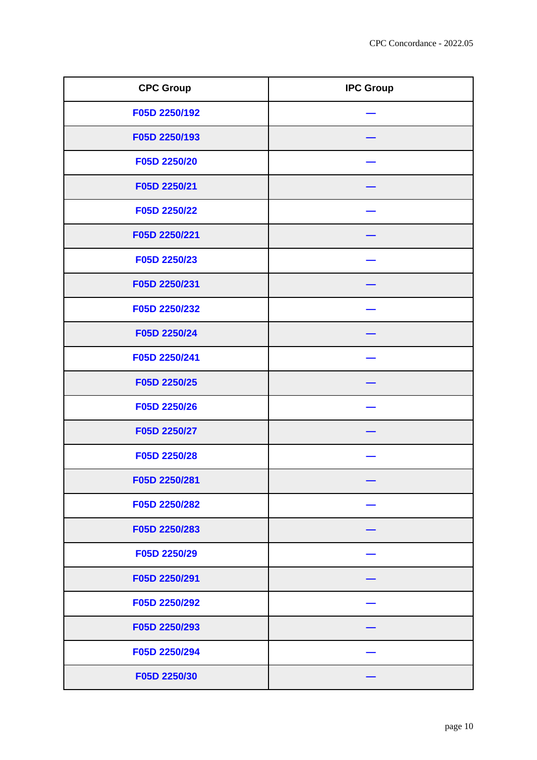| <b>CPC Group</b> | <b>IPC Group</b> |
|------------------|------------------|
| F05D 2250/192    |                  |
| F05D 2250/193    |                  |
| F05D 2250/20     |                  |
| F05D 2250/21     |                  |
| F05D 2250/22     |                  |
| F05D 2250/221    |                  |
| F05D 2250/23     |                  |
| F05D 2250/231    |                  |
| F05D 2250/232    |                  |
| F05D 2250/24     |                  |
| F05D 2250/241    |                  |
| F05D 2250/25     |                  |
| F05D 2250/26     |                  |
| F05D 2250/27     |                  |
| F05D 2250/28     |                  |
| F05D 2250/281    |                  |
| F05D 2250/282    |                  |
| F05D 2250/283    |                  |
| F05D 2250/29     |                  |
| F05D 2250/291    |                  |
| F05D 2250/292    |                  |
| F05D 2250/293    |                  |
| F05D 2250/294    |                  |
| F05D 2250/30     |                  |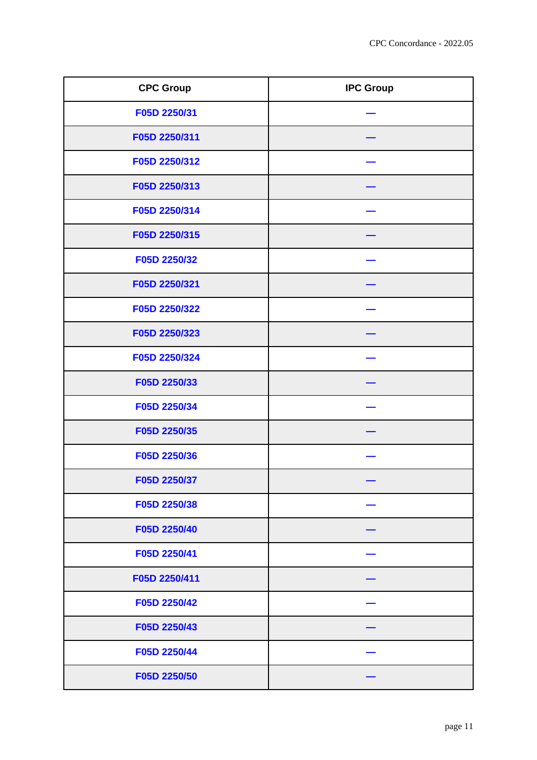| <b>CPC Group</b> | <b>IPC Group</b> |
|------------------|------------------|
| F05D 2250/31     |                  |
| F05D 2250/311    |                  |
| F05D 2250/312    |                  |
| F05D 2250/313    |                  |
| F05D 2250/314    |                  |
| F05D 2250/315    |                  |
| F05D 2250/32     |                  |
| F05D 2250/321    |                  |
| F05D 2250/322    |                  |
| F05D 2250/323    |                  |
| F05D 2250/324    |                  |
| F05D 2250/33     |                  |
| F05D 2250/34     |                  |
| F05D 2250/35     |                  |
| F05D 2250/36     |                  |
| F05D 2250/37     |                  |
| F05D 2250/38     |                  |
| F05D 2250/40     |                  |
| F05D 2250/41     |                  |
| F05D 2250/411    |                  |
| F05D 2250/42     |                  |
| F05D 2250/43     |                  |
| F05D 2250/44     |                  |
| F05D 2250/50     |                  |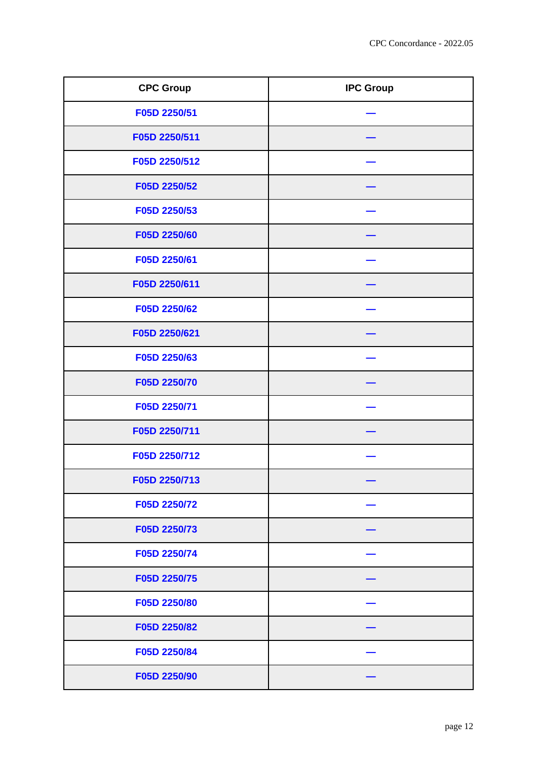| <b>CPC Group</b> | <b>IPC Group</b> |
|------------------|------------------|
| F05D 2250/51     |                  |
| F05D 2250/511    |                  |
| F05D 2250/512    |                  |
| F05D 2250/52     |                  |
| F05D 2250/53     |                  |
| F05D 2250/60     |                  |
| F05D 2250/61     |                  |
| F05D 2250/611    |                  |
| F05D 2250/62     |                  |
| F05D 2250/621    |                  |
| F05D 2250/63     |                  |
| F05D 2250/70     |                  |
| F05D 2250/71     |                  |
| F05D 2250/711    |                  |
| F05D 2250/712    |                  |
| F05D 2250/713    |                  |
| F05D 2250/72     |                  |
| F05D 2250/73     |                  |
| F05D 2250/74     |                  |
| F05D 2250/75     |                  |
| F05D 2250/80     |                  |
| F05D 2250/82     |                  |
| F05D 2250/84     |                  |
| F05D 2250/90     |                  |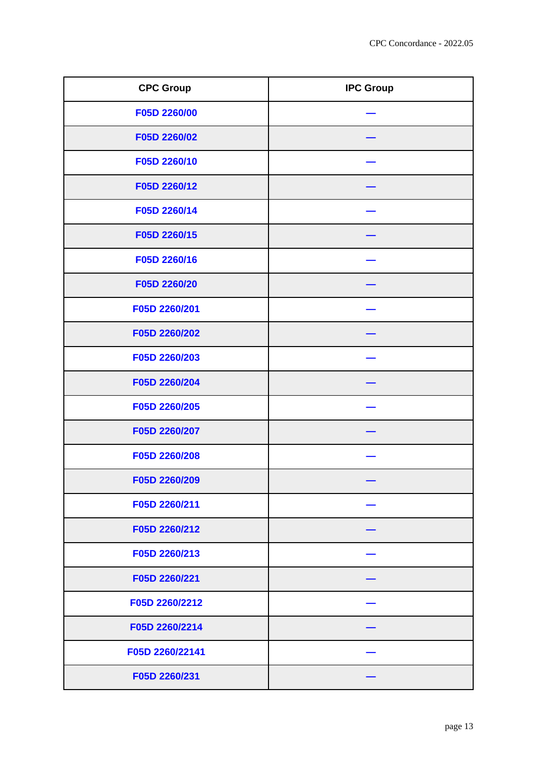| <b>CPC Group</b> | <b>IPC Group</b> |
|------------------|------------------|
| F05D 2260/00     |                  |
| F05D 2260/02     |                  |
| F05D 2260/10     |                  |
| F05D 2260/12     |                  |
| F05D 2260/14     |                  |
| F05D 2260/15     |                  |
| F05D 2260/16     |                  |
| F05D 2260/20     |                  |
| F05D 2260/201    |                  |
| F05D 2260/202    |                  |
| F05D 2260/203    |                  |
| F05D 2260/204    |                  |
| F05D 2260/205    |                  |
| F05D 2260/207    |                  |
| F05D 2260/208    |                  |
| F05D 2260/209    |                  |
| F05D 2260/211    |                  |
| F05D 2260/212    |                  |
| F05D 2260/213    |                  |
| F05D 2260/221    |                  |
| F05D 2260/2212   |                  |
| F05D 2260/2214   |                  |
| F05D 2260/22141  |                  |
| F05D 2260/231    |                  |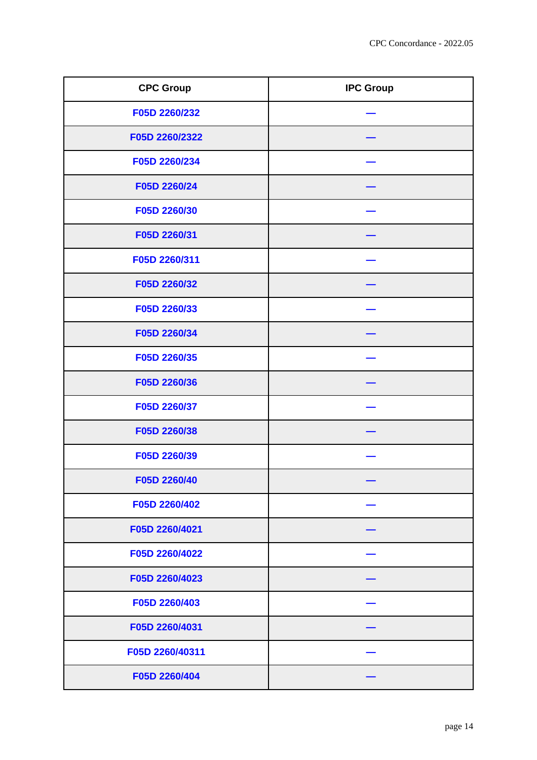| <b>CPC Group</b> | <b>IPC Group</b> |
|------------------|------------------|
| F05D 2260/232    |                  |
| F05D 2260/2322   |                  |
| F05D 2260/234    |                  |
| F05D 2260/24     |                  |
| F05D 2260/30     |                  |
| F05D 2260/31     |                  |
| F05D 2260/311    |                  |
| F05D 2260/32     |                  |
| F05D 2260/33     |                  |
| F05D 2260/34     |                  |
| F05D 2260/35     |                  |
| F05D 2260/36     |                  |
| F05D 2260/37     |                  |
| F05D 2260/38     |                  |
| F05D 2260/39     |                  |
| F05D 2260/40     |                  |
| F05D 2260/402    |                  |
| F05D 2260/4021   |                  |
| F05D 2260/4022   |                  |
| F05D 2260/4023   |                  |
| F05D 2260/403    |                  |
| F05D 2260/4031   |                  |
| F05D 2260/40311  |                  |
| F05D 2260/404    |                  |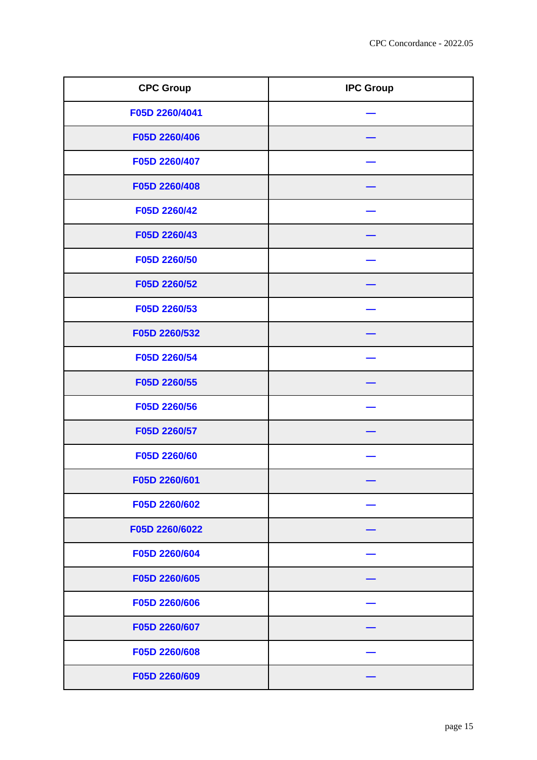| <b>CPC Group</b> | <b>IPC Group</b> |
|------------------|------------------|
| F05D 2260/4041   |                  |
| F05D 2260/406    |                  |
| F05D 2260/407    |                  |
| F05D 2260/408    |                  |
| F05D 2260/42     |                  |
| F05D 2260/43     |                  |
| F05D 2260/50     |                  |
| F05D 2260/52     |                  |
| F05D 2260/53     |                  |
| F05D 2260/532    |                  |
| F05D 2260/54     |                  |
| F05D 2260/55     |                  |
| F05D 2260/56     |                  |
| F05D 2260/57     |                  |
| F05D 2260/60     |                  |
| F05D 2260/601    |                  |
| F05D 2260/602    |                  |
| F05D 2260/6022   |                  |
| F05D 2260/604    |                  |
| F05D 2260/605    |                  |
| F05D 2260/606    |                  |
| F05D 2260/607    |                  |
| F05D 2260/608    |                  |
| F05D 2260/609    |                  |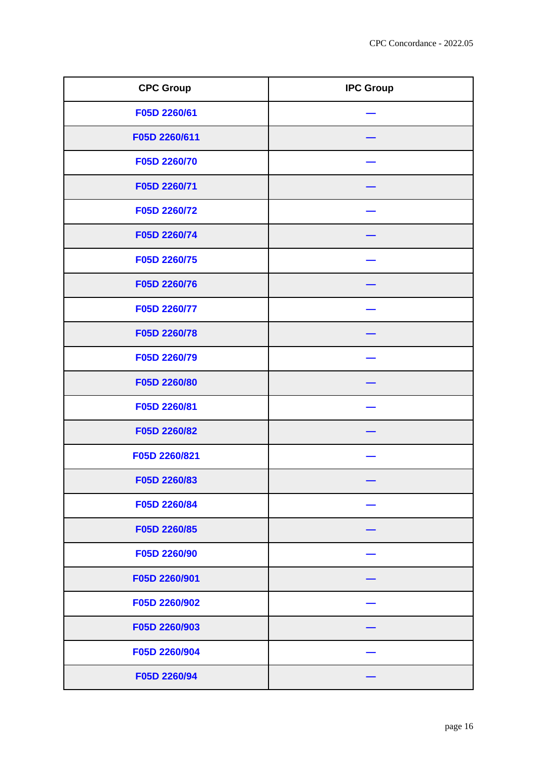| <b>CPC Group</b> | <b>IPC Group</b> |
|------------------|------------------|
| F05D 2260/61     |                  |
| F05D 2260/611    |                  |
| F05D 2260/70     |                  |
| F05D 2260/71     |                  |
| F05D 2260/72     |                  |
| F05D 2260/74     |                  |
| F05D 2260/75     |                  |
| F05D 2260/76     |                  |
| F05D 2260/77     |                  |
| F05D 2260/78     |                  |
| F05D 2260/79     |                  |
| F05D 2260/80     |                  |
| F05D 2260/81     |                  |
| F05D 2260/82     |                  |
| F05D 2260/821    |                  |
| F05D 2260/83     |                  |
| F05D 2260/84     |                  |
| F05D 2260/85     |                  |
| F05D 2260/90     |                  |
| F05D 2260/901    |                  |
| F05D 2260/902    |                  |
| F05D 2260/903    |                  |
| F05D 2260/904    |                  |
| F05D 2260/94     |                  |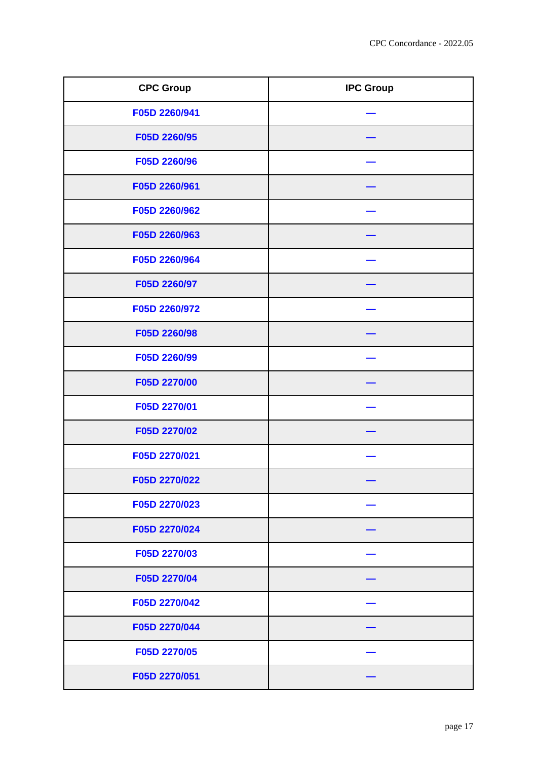| <b>CPC Group</b> | <b>IPC Group</b> |
|------------------|------------------|
| F05D 2260/941    |                  |
| F05D 2260/95     |                  |
| F05D 2260/96     |                  |
| F05D 2260/961    |                  |
| F05D 2260/962    |                  |
| F05D 2260/963    |                  |
| F05D 2260/964    |                  |
| F05D 2260/97     |                  |
| F05D 2260/972    |                  |
| F05D 2260/98     |                  |
| F05D 2260/99     |                  |
| F05D 2270/00     |                  |
| F05D 2270/01     |                  |
| F05D 2270/02     |                  |
| F05D 2270/021    |                  |
| F05D 2270/022    |                  |
| F05D 2270/023    |                  |
| F05D 2270/024    |                  |
| F05D 2270/03     |                  |
| F05D 2270/04     |                  |
| F05D 2270/042    |                  |
| F05D 2270/044    |                  |
| F05D 2270/05     |                  |
| F05D 2270/051    |                  |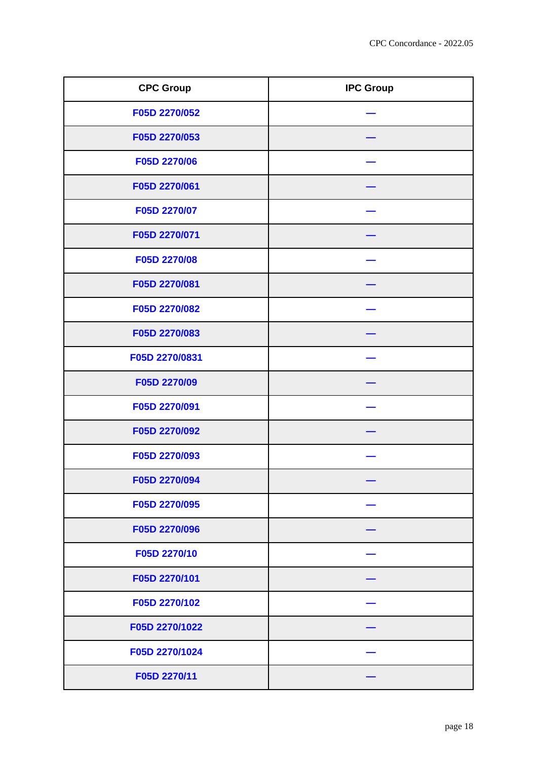| <b>CPC Group</b> | <b>IPC Group</b> |
|------------------|------------------|
| F05D 2270/052    |                  |
| F05D 2270/053    |                  |
| F05D 2270/06     |                  |
| F05D 2270/061    |                  |
| F05D 2270/07     |                  |
| F05D 2270/071    |                  |
| F05D 2270/08     |                  |
| F05D 2270/081    |                  |
| F05D 2270/082    |                  |
| F05D 2270/083    |                  |
| F05D 2270/0831   |                  |
| F05D 2270/09     |                  |
| F05D 2270/091    |                  |
| F05D 2270/092    |                  |
| F05D 2270/093    |                  |
| F05D 2270/094    |                  |
| F05D 2270/095    |                  |
| F05D 2270/096    |                  |
| F05D 2270/10     |                  |
| F05D 2270/101    |                  |
| F05D 2270/102    |                  |
| F05D 2270/1022   |                  |
| F05D 2270/1024   |                  |
| F05D 2270/11     |                  |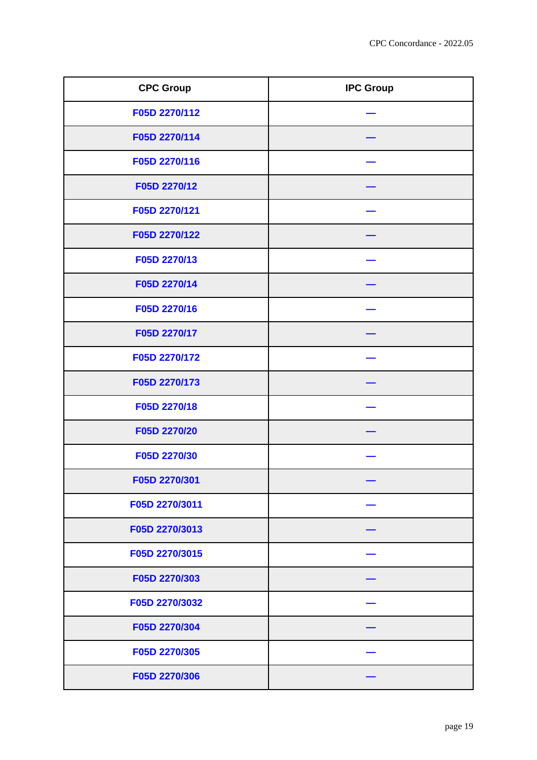| <b>CPC Group</b> | <b>IPC Group</b> |
|------------------|------------------|
| F05D 2270/112    |                  |
| F05D 2270/114    |                  |
| F05D 2270/116    |                  |
| F05D 2270/12     |                  |
| F05D 2270/121    |                  |
| F05D 2270/122    |                  |
| F05D 2270/13     |                  |
| F05D 2270/14     |                  |
| F05D 2270/16     |                  |
| F05D 2270/17     |                  |
| F05D 2270/172    |                  |
| F05D 2270/173    |                  |
| F05D 2270/18     |                  |
| F05D 2270/20     |                  |
| F05D 2270/30     |                  |
| F05D 2270/301    |                  |
| F05D 2270/3011   |                  |
| F05D 2270/3013   |                  |
| F05D 2270/3015   |                  |
| F05D 2270/303    |                  |
| F05D 2270/3032   |                  |
| F05D 2270/304    |                  |
| F05D 2270/305    |                  |
| F05D 2270/306    |                  |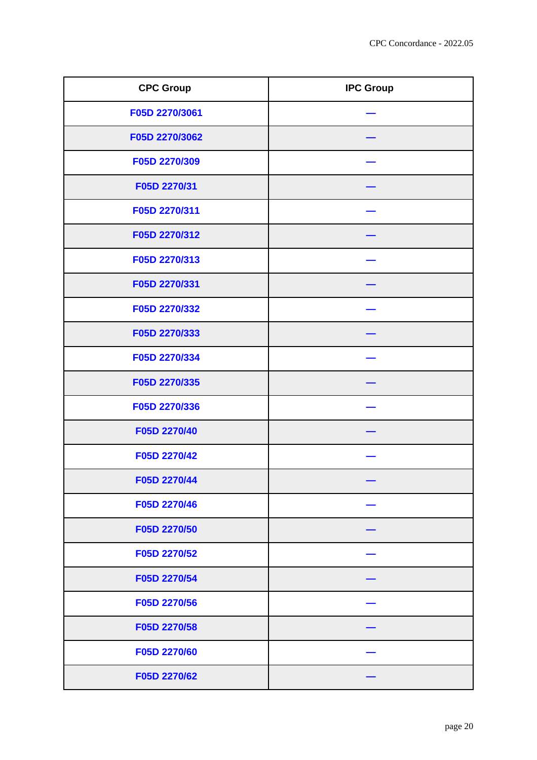| <b>CPC Group</b> | <b>IPC Group</b> |
|------------------|------------------|
| F05D 2270/3061   |                  |
| F05D 2270/3062   |                  |
| F05D 2270/309    |                  |
| F05D 2270/31     |                  |
| F05D 2270/311    |                  |
| F05D 2270/312    |                  |
| F05D 2270/313    |                  |
| F05D 2270/331    |                  |
| F05D 2270/332    |                  |
| F05D 2270/333    |                  |
| F05D 2270/334    |                  |
| F05D 2270/335    |                  |
| F05D 2270/336    |                  |
| F05D 2270/40     |                  |
| F05D 2270/42     |                  |
| F05D 2270/44     |                  |
| F05D 2270/46     |                  |
| F05D 2270/50     |                  |
| F05D 2270/52     |                  |
| F05D 2270/54     |                  |
| F05D 2270/56     |                  |
| F05D 2270/58     |                  |
| F05D 2270/60     |                  |
| F05D 2270/62     |                  |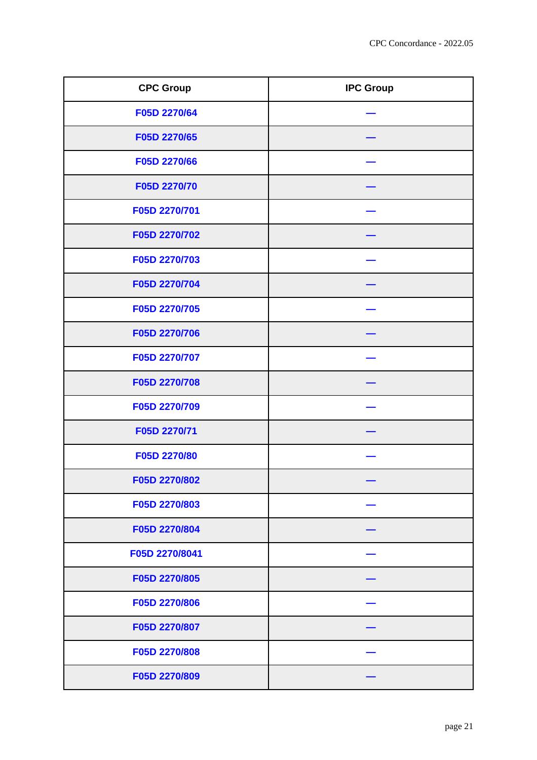| <b>CPC Group</b> | <b>IPC Group</b> |
|------------------|------------------|
| F05D 2270/64     |                  |
| F05D 2270/65     |                  |
| F05D 2270/66     |                  |
| F05D 2270/70     |                  |
| F05D 2270/701    |                  |
| F05D 2270/702    |                  |
| F05D 2270/703    |                  |
| F05D 2270/704    |                  |
| F05D 2270/705    |                  |
| F05D 2270/706    |                  |
| F05D 2270/707    |                  |
| F05D 2270/708    |                  |
| F05D 2270/709    |                  |
| F05D 2270/71     |                  |
| F05D 2270/80     |                  |
| F05D 2270/802    |                  |
| F05D 2270/803    |                  |
| F05D 2270/804    |                  |
| F05D 2270/8041   |                  |
| F05D 2270/805    |                  |
| F05D 2270/806    |                  |
| F05D 2270/807    |                  |
| F05D 2270/808    |                  |
| F05D 2270/809    |                  |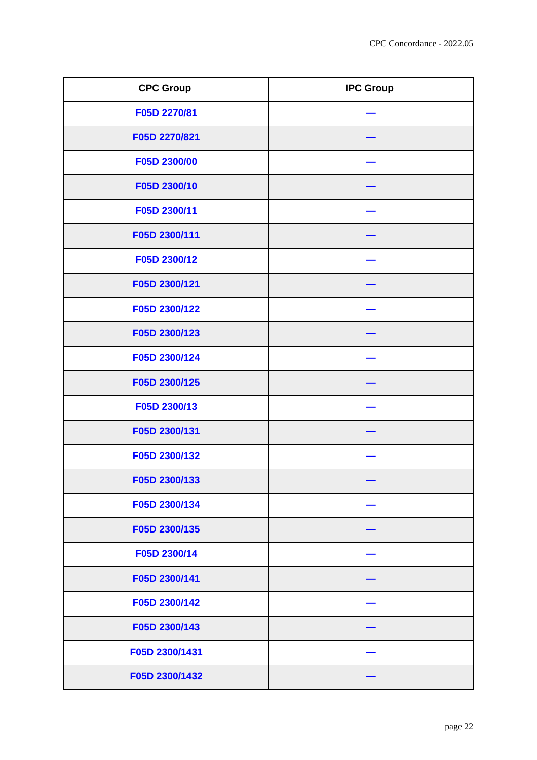| <b>CPC Group</b> | <b>IPC Group</b> |
|------------------|------------------|
| F05D 2270/81     |                  |
| F05D 2270/821    |                  |
| F05D 2300/00     |                  |
| F05D 2300/10     |                  |
| F05D 2300/11     |                  |
| F05D 2300/111    |                  |
| F05D 2300/12     |                  |
| F05D 2300/121    |                  |
| F05D 2300/122    |                  |
| F05D 2300/123    |                  |
| F05D 2300/124    |                  |
| F05D 2300/125    |                  |
| F05D 2300/13     |                  |
| F05D 2300/131    |                  |
| F05D 2300/132    |                  |
| F05D 2300/133    |                  |
| F05D 2300/134    |                  |
| F05D 2300/135    |                  |
| F05D 2300/14     |                  |
| F05D 2300/141    |                  |
| F05D 2300/142    |                  |
| F05D 2300/143    |                  |
| F05D 2300/1431   |                  |
| F05D 2300/1432   |                  |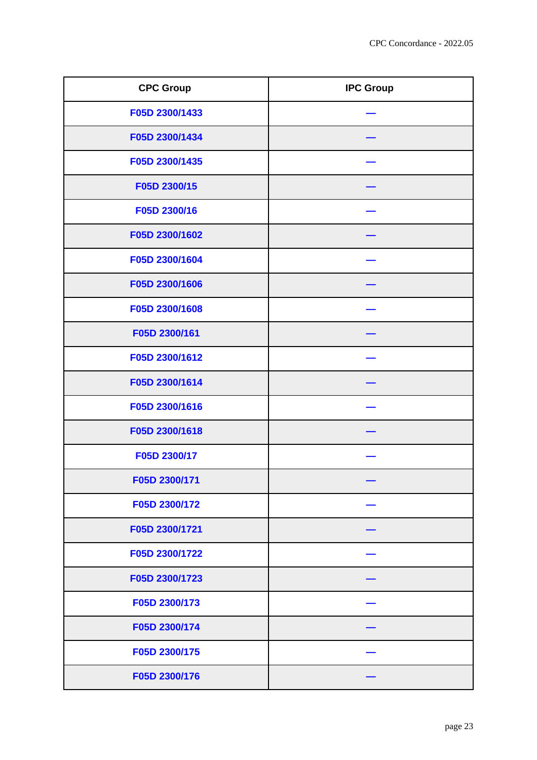| <b>CPC Group</b> | <b>IPC Group</b> |
|------------------|------------------|
| F05D 2300/1433   |                  |
| F05D 2300/1434   |                  |
| F05D 2300/1435   |                  |
| F05D 2300/15     |                  |
| F05D 2300/16     |                  |
| F05D 2300/1602   |                  |
| F05D 2300/1604   |                  |
| F05D 2300/1606   |                  |
| F05D 2300/1608   |                  |
| F05D 2300/161    |                  |
| F05D 2300/1612   |                  |
| F05D 2300/1614   |                  |
| F05D 2300/1616   |                  |
| F05D 2300/1618   |                  |
| F05D 2300/17     |                  |
| F05D 2300/171    |                  |
| F05D 2300/172    |                  |
| F05D 2300/1721   |                  |
| F05D 2300/1722   |                  |
| F05D 2300/1723   |                  |
| F05D 2300/173    |                  |
| F05D 2300/174    |                  |
| F05D 2300/175    |                  |
| F05D 2300/176    |                  |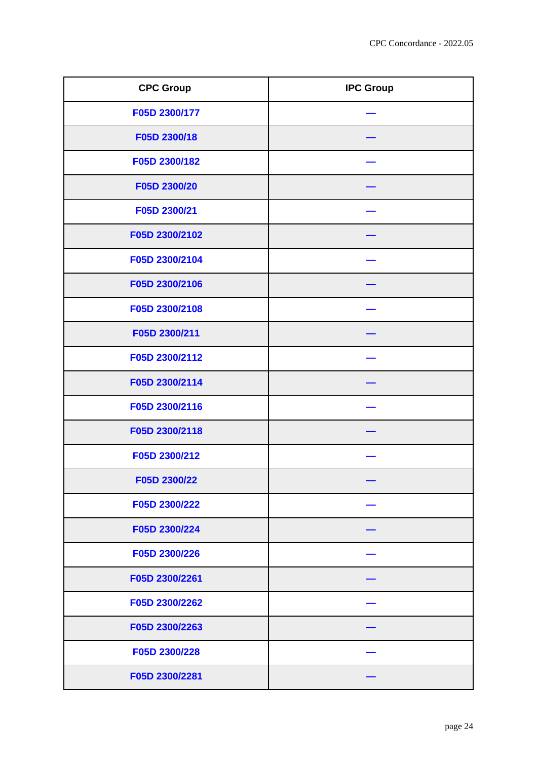| <b>CPC Group</b> | <b>IPC Group</b> |
|------------------|------------------|
| F05D 2300/177    |                  |
| F05D 2300/18     |                  |
| F05D 2300/182    |                  |
| F05D 2300/20     |                  |
| F05D 2300/21     |                  |
| F05D 2300/2102   |                  |
| F05D 2300/2104   |                  |
| F05D 2300/2106   |                  |
| F05D 2300/2108   |                  |
| F05D 2300/211    |                  |
| F05D 2300/2112   |                  |
| F05D 2300/2114   |                  |
| F05D 2300/2116   |                  |
| F05D 2300/2118   |                  |
| F05D 2300/212    |                  |
| F05D 2300/22     |                  |
| F05D 2300/222    |                  |
| F05D 2300/224    |                  |
| F05D 2300/226    |                  |
| F05D 2300/2261   |                  |
| F05D 2300/2262   |                  |
| F05D 2300/2263   |                  |
| F05D 2300/228    |                  |
| F05D 2300/2281   |                  |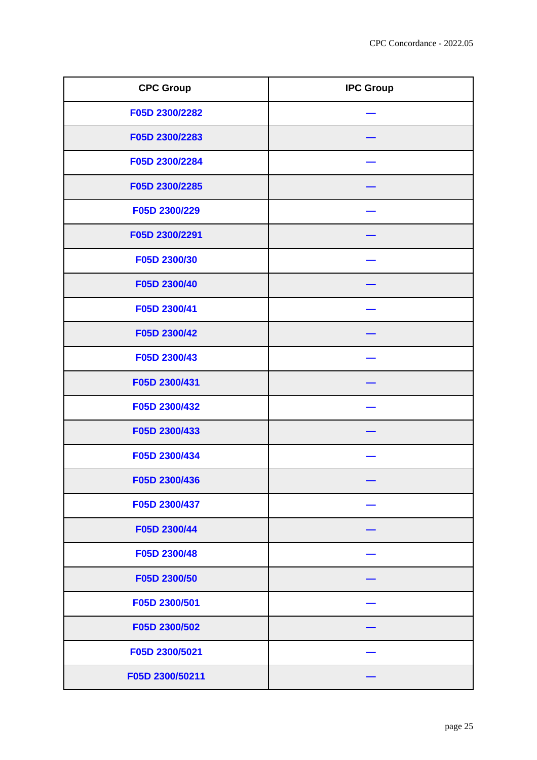| <b>CPC Group</b> | <b>IPC Group</b> |
|------------------|------------------|
| F05D 2300/2282   |                  |
| F05D 2300/2283   |                  |
| F05D 2300/2284   |                  |
| F05D 2300/2285   |                  |
| F05D 2300/229    |                  |
| F05D 2300/2291   |                  |
| F05D 2300/30     |                  |
| F05D 2300/40     |                  |
| F05D 2300/41     |                  |
| F05D 2300/42     |                  |
| F05D 2300/43     |                  |
| F05D 2300/431    |                  |
| F05D 2300/432    |                  |
| F05D 2300/433    |                  |
| F05D 2300/434    |                  |
| F05D 2300/436    |                  |
| F05D 2300/437    |                  |
| F05D 2300/44     |                  |
| F05D 2300/48     |                  |
| F05D 2300/50     |                  |
| F05D 2300/501    |                  |
| F05D 2300/502    |                  |
| F05D 2300/5021   |                  |
| F05D 2300/50211  |                  |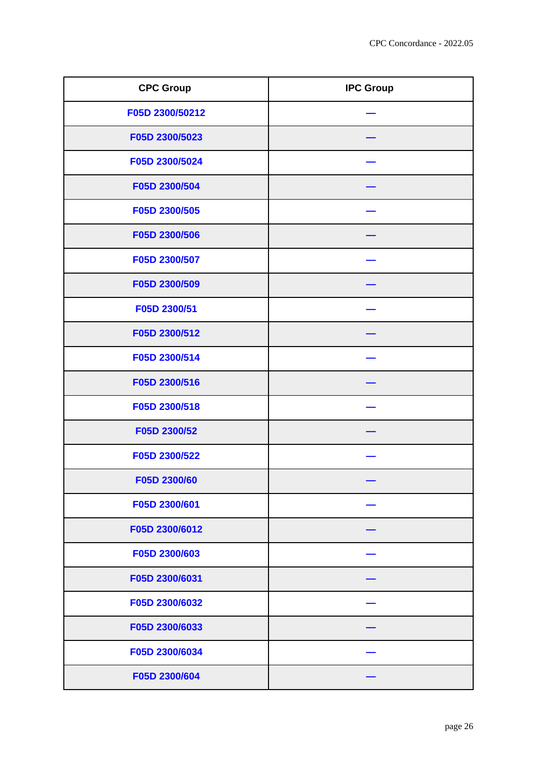| <b>CPC Group</b> | <b>IPC Group</b> |
|------------------|------------------|
| F05D 2300/50212  |                  |
| F05D 2300/5023   |                  |
| F05D 2300/5024   |                  |
| F05D 2300/504    |                  |
| F05D 2300/505    |                  |
| F05D 2300/506    |                  |
| F05D 2300/507    |                  |
| F05D 2300/509    |                  |
| F05D 2300/51     |                  |
| F05D 2300/512    |                  |
| F05D 2300/514    |                  |
| F05D 2300/516    |                  |
| F05D 2300/518    |                  |
| F05D 2300/52     |                  |
| F05D 2300/522    |                  |
| F05D 2300/60     |                  |
| F05D 2300/601    |                  |
| F05D 2300/6012   |                  |
| F05D 2300/603    |                  |
| F05D 2300/6031   |                  |
| F05D 2300/6032   |                  |
| F05D 2300/6033   |                  |
| F05D 2300/6034   |                  |
| F05D 2300/604    |                  |